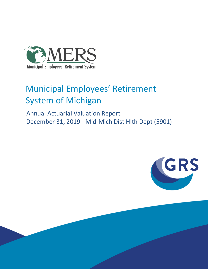

# Municipal Employees' Retirement System of Michigan

 Annual Actuarial Valuation Report December 31, 2019 - Mid-Mich Dist Hlth Dept (5901)

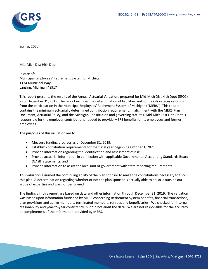

Spring, 2020

Mid-Mich Dist Hlth Dept

In care of: Municipal Employees' Retirement System of Michigan 1134 Municipal Way Lansing, Michigan 48917

This report presents the results of the Annual Actuarial Valuation, prepared for Mid-Mich Dist Hlth Dept (5901) as of December 31, 2019. The report includes the determination of liabilities and contribution rates resulting from the participation in the Municipal Employees' Retirement System of Michigan ("MERS"). This report contains the minimum actuarially determined contribution requirement, in alignment with the MERS Plan Document, Actuarial Policy, and the Michigan Constitution and governing statutes. Mid-Mich Dist Hlth Dept is responsible for the employer contributions needed to provide MERS benefits for its employees and former employees.

The purposes of this valuation are to:

- Measure funding progress as of December 31, 2019,
- Establish contribution requirements for the fiscal year beginning October 1, 2021,
- Provide information regarding the identification and assessment of risk,
- Provide actuarial information in connection with applicable Governmental Accounting Standards Board (GASB) statements, and
- Provide information to assist the local unit of government with state reporting requirements.

This valuation assumed the continuing ability of the plan sponsor to make the contributions necessary to fund this plan. A determination regarding whether or not the plan sponsor is actually able to do so is outside our scope of expertise and was not performed.

The findings in this report are based on data and other information through December 31, 2019. The valuation was based upon information furnished by MERS concerning Retirement System benefits, financial transactions, plan provisions and active members, terminated members, retirees and beneficiaries. We checked for internal reasonability and year-to-year consistency, but did not audit the data. We are not responsible for the accuracy or completeness of the information provided by MERS.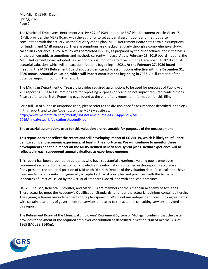Mid-Mich Dist Hlth Dept Spring, 2020 Page 2

The Municipal Employees' Retirement Act, PA 427 of 1984 and the MERS' Plan Document Article VI sec. 71 (1)(d), provides the MERS Board with the authority to set actuarial assumptions and methods after consultation with the actuary. As the fiduciary of the plan, MERS Retirement Board sets certain assumptions for funding and GASB purposes. These assumptions are checked regularly through a comprehensive study, called an Experience Study. A study was completed in 2015, as prepared by the prior actuary, and is the basis of the demographic assumptions and methods currently in place. At the February 28, 2019 board meeting, the MERS Retirement Board adopted new economic assumptions effective with the December 31, 2019 annual actuarial valuation, which will impact contributions beginning in 2021. **At the February 27, 2020 board meeting, the MERS Retirement Board adopted demographic assumptions effective with the December 31, 2020 annual actuarial valuation, which will impact contributions beginning in 2022.** An illustration of the potential impact is found in this report.

The Michigan Department of Treasury provides required assumptions to be used for purposes of Public Act 202 reporting. These assumptions are for reporting purposes only and do not impact required contributions. Please refer to the State Reporting page found at the end of this report for information for this filing.

For a full list of all the assumptions used, please refer to the division-specific assumptions described in table(s) in this report, and to the Appendix on the MERS website at: [http://www.mersofmich.com/Portals/0/Assets/Resources/AAV-Appendix/MERS-](http://www.mersofmich.com/Portals/0/Assets/Resources/AAV-Appendix/MERS-2019AnnualActuarialValuation-Appendix.pdf)[2019AnnualActuarialValuation-Appendix.pdf](http://www.mersofmich.com/Portals/0/Assets/Resources/AAV-Appendix/MERS-2019AnnualActuarialValuation-Appendix.pdf)

**The actuarial assumptions used for this valuation are reasonable for purposes of the measurement.**

**This report does not reflect the recent and still developing impact of COVID-19, which is likely to influence demographic and economic experience, at least in the short-term. We will continue to monitor these developments and their impact on the MERS Defined Benefit and Hybrid plans. Actual experience will be reflected in each subsequent annual valuation, as experience emerges.**

This report has been prepared by actuaries who have substantial experience valuing public employee retirement systems. To the best of our knowledge the information contained in this report is accurate and fairly presents the actuarial position of Mid-Mich Dist Hlth Dept as of the valuation date. All calculations have been made in conformity with generally accepted actuarial principles and practices, with the Actuarial Standards of Practice issued by the Actuarial Standards Board, and with applicable statutes.

David T. Kausch, Rebecca L. Stouffer, and Mark Buis are members of the American Academy of Actuaries. These actuaries meet the Academy's Qualification Standards to render the actuarial opinions contained herein. The signing actuaries are independent of the plan sponsor. GRS maintains independent consulting agreements with certain local units of government for services unrelated to the actuarial consulting services provided in this report.

The Retirement Board of the Municipal Employees' Retirement System of Michigan confirms that the System provides for payment of the required employer contribution as described in Section 20m of Act No. 314 of 1965 (MCL 38.1140m).

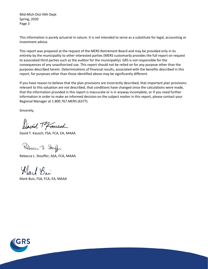Mid-Mich Dist Hlth Dept Spring, 2020 Page 3

This information is purely actuarial in nature. It is not intended to serve as a substitute for legal, accounting or investment advice.

This report was prepared at the request of the MERS Retirement Board and may be provided only in its entirety by the municipality to other interested parties (MERS customarily provides the full report on request to associated third parties such as the auditor for the municipality). GRS is not responsible for the consequences of any unauthorized use. This report should not be relied on for any purpose other than the purposes described herein. Determinations of financial results, associated with the benefits described in this report, for purposes other than those identified above may be significantly different.

If you have reason to believe that the plan provisions are incorrectly described, that important plan provisions relevant to this valuation are not described, that conditions have changed since the calculations were made, that the information provided in this report is inaccurate or is in anyway incomplete, or if you need further information in order to make an informed decision on the subject matter in this report, please contact your Regional Manager at 1.800.767.MERS (6377).

Sincerely,

David Tofausch

David T. Kausch, FSA, FCA, EA, MAAA

Rebecca J. Stouff

Rebecca L. Stouffer, ASA, FCA, MAAA

Ward Bin

Mark Buis, FSA, FCA, EA, MAAA

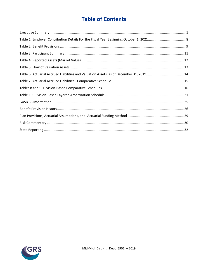## **Table of Contents**

| Table 6: Actuarial Accrued Liabilities and Valuation Assets as of December 31, 2019 14 |  |
|----------------------------------------------------------------------------------------|--|
|                                                                                        |  |
|                                                                                        |  |
|                                                                                        |  |
|                                                                                        |  |
|                                                                                        |  |
|                                                                                        |  |
|                                                                                        |  |
|                                                                                        |  |

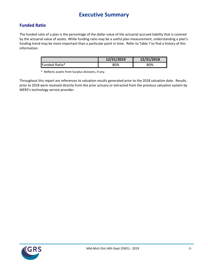## **Executive Summary**

### <span id="page-5-0"></span>**Funded Ratio**

The funded ratio of a plan is the percentage of the dollar value of the actuarial accrued liability that is covered by the actuarial value of assets. While funding ratio may be a useful plan measurement, understanding a plan's funding trend may be more important than a particular point in time. Refer to Table 7 to find a history of this information.

|               | 12/31/2019 | 12/31/2018 |
|---------------|------------|------------|
| Funded Ratio* | 80%        | 80%        |

\* Reflects assets from Surplus divisions, if any.

Throughout this report are references to valuation results generated prior to the 2018 valuation date. Results prior to 2018 were received directly from the prior actuary or extracted from the previous valuation system by MERS's technology service provider.

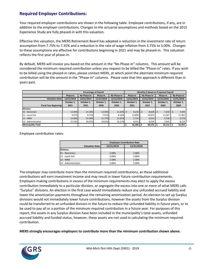### **Required Employer Contributions:**

Your required employer contributions are shown in the following table. Employee contributions, if any, are in addition to the employer contributions. Changes to the actuarial assumptions and methods based on the 2015 Experience Study are fully phased-in with this valuation.

Effective this valuation, the MERS Retirement Board has adopted a reduction in the investment rate of return assumption from 7.75% to 7.35% and a reduction in the rate of wage inflation from 3.75% to 3.00%. Changes to these assumptions are effective for contributions beginning in 2021 and may be phased-in. This valuation reflects the first year of phase-in.

By default, MERS will invoice you based on the amount in the "No Phase-in" columns. This amount will be considered the minimum required contribution unless you request to be billed the "Phase-in" rates. If you wish to be billed using the phased-in rates, please contact MERS, at which point the alternate minimum required contribution will be the amount in the "Phase-in" columns. Please note that this approach is different than in years past.

|                               |            |             | <b>Percentage of Payroll</b> |             | Monthly \$ Based on Projected Payroll |                        |            |             |  |
|-------------------------------|------------|-------------|------------------------------|-------------|---------------------------------------|------------------------|------------|-------------|--|
|                               | Phase-in   | No Phase-in | Phase-in                     | No Phase-in | Phase-in                              | No Phase-in            | Phase-in   | No Phase-in |  |
| <b>Valuation Date:</b>        | 12/31/2019 | 12/31/2019  | 12/31/2018                   | 12/31/2018  | 12/31/2019                            | 12/31/2019             | 12/31/2018 | 12/31/2018  |  |
|                               | October 1, | October 1,  | October 1,                   | October 1,  | October 1,                            | October 1,             | October 1, | October 1,  |  |
| <b>Fiscal Year Beginning:</b> | 2021       | 2021        | 2020                         | 2020        |                                       | 2021<br>2021           |            | 2020        |  |
| <b>Division</b>               |            |             |                              |             |                                       |                        |            |             |  |
| 01 - NonUnion                 | 13.46%     | 14.18%      | 12.08%                       | 12.34% \$   | $8,230$ \$                            | 8,668                  | 7,434      | 7,594       |  |
| 11 - Local 214                | 9.07%      | 9.71%       | 7.91%                        | 8.16%       | 13.899                                | 14,874                 | 11,597     | 11,963      |  |
| 12 - MNA                      | 13.66%     | 14.38%      | 11.77%                       | 12.05%      | 5,716                                 | 6,016                  | 5,158      | 5,279       |  |
| 13 - Administration           | 27.53%     | 29.07%      | 24.62%                       | 25.17%      | 8,541                                 | 9,018                  | 7.942      | 8,119       |  |
| <b>Municipality Total</b>     |            |             |                              |             | 36,386                                | $38,576$ $\frac{1}{5}$ | 32,131     | 32,955      |  |

Employee contribution rates:

|                        | <b>Employee Contribution Rate</b> |            |  |  |  |  |
|------------------------|-----------------------------------|------------|--|--|--|--|
| <b>Valuation Date:</b> | 12/31/2019                        | 12/31/2018 |  |  |  |  |
| <b>Division</b>        |                                   |            |  |  |  |  |
| 01 - NonUnion          | 2.68%                             | 2.68%      |  |  |  |  |
| 11 - Local 214         | 3.00%                             | 3.00%      |  |  |  |  |
| 12 - MNA               | 2.58%                             | 2.58%      |  |  |  |  |
| 13 - Administration    | 3.00%                             | 3.00%      |  |  |  |  |

The employer may contribute more than the minimum required contributions, as these additional contributions will earn investment income and may result in lower future contribution requirements. Employers making contributions in excess of the minimum requirements may elect to apply the excess contribution immediately to a particular division, or segregate the excess into one or more of what MERS calls "Surplus" divisions. An election in the first case would immediately reduce any unfunded accrued liability and lower the amortization payments throughout the remaining amortization period. An election to set up Surplus divisions would not immediately lower future contributions, however the assets from the Surplus division could be transferred to an unfunded division in the future to reduce the unfunded liability in future years, or to be used to pay all or a portion of the minimum required contribution in a future year. For purposes of this report, the assets in any Surplus division have been included in the municipality's total assets, unfunded accrued liability and funded status, however, these assets are not used in calculating the minimum required contribution.

**MERS strongly encourages employers to contribute more than the minimum contribution shown above.**

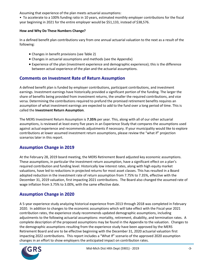Assuming that experience of the plan meets actuarial assumptions:

• To accelerate to a 100% funding ratio in 10 years, estimated monthly employer contributions for the fiscal year beginning in 2021 for the entire employer would be \$51,133, instead of \$38,576.

#### **How and Why Do These Numbers Change?**

In a defined benefit plan contributions vary from one annual actuarial valuation to the next as a result of the following:

- Changes in benefit provisions (see Table 2)
- Changes in actuarial assumptions and methods (see the Appendix)
- Experience of the plan (investment experience and demographic experience); this is the difference between actual experience of the plan and the actuarial assumptions.

### **Comments on Investment Rate of Return Assumption**

A defined benefit plan is funded by employer contributions, participant contributions, and investment earnings. Investment earnings have historically provided a significant portion of the funding. The larger the share of benefits being provided from investment returns, the smaller the required contributions, and vice versa. Determining the contributions required to prefund the promised retirement benefits requires an assumption of what investment earnings are expected to add to the fund over a long period of time. This is called the **Investment Return Assumption**.

The MERS Investment Return Assumption is **7.35%** per year. This, along with all of our other actuarial assumptions, is reviewed at least every five years in an Experience Study that compares the assumptions used against actual experience and recommends adjustments if necessary. If your municipality would like to explore contributions at lower assumed investment return assumptions, please review the "what if" projection scenarios later in this report.

### **Assumption Change in 2019**

At the February 28, 2019 board meeting, the MERS Retirement Board adjusted key economic assumptions. These assumptions, in particular the investment return assumption, have a significant effect on a plan's required contribution and funding level. Historically low interest rates, along with high equity market valuations, have led to reductions in projected returns for most asset classes. This has resulted in a Board adopted reduction in the investment rate of return assumption from 7.75% to 7.35%, effective with the December 31, 2019 valuation, first impacting 2021 contributions. The Board also changed the assumed rate of wage inflation from 3.75% to 3.00%, with the same effective date.

### **Assumption Change in 2020**

A 5-year experience study analyzing historical experience from 2013 through 2018 was completed in February 2020. In addition to changes to the economic assumptions which will take effect with the Fiscal year 2021 contribution rates, the experience study recommends updated demographic assumptions, including adjustments to the following actuarial assumptions: mortality, retirement, disability, and termination rates. A complete description of the proposed assumptions may be found in the Appendix to the valuation. Changes to the demographic assumptions resulting from the experience study have been approved by the MERS Retirement Board and are to be effective beginning with the December 31, 2020 actuarial valuation first impacting 2022 contributions. This report includes a "What If" scenario of the approved 2020 assumption changes in an effort to show employers the anticipated impact on contribution rates.

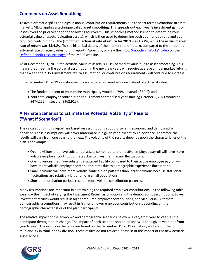### **Comments on Asset Smoothing**

To avoid dramatic spikes and dips in annual contribution requirements due to short term fluctuations in asset markets, MERS applies a technique called **asset smoothing**. This spreads out each year's investment gains or losses over the prior year and the following four years. This smoothing method is used to determine your actuarial value of assets (valuation assets), which is then used to determine both your funded ratio and your required contributions. The (smoothed) **actuarial rate of return for 2019 was 4.77%, while the actual market rate of return was 13.41%.** To see historical details of the market rate of return, compared to the smoothed actuarial rate of return, refer to this report's Appendix, or view the ["How Smoothing Works" video](https://vimeo.com/mersofmich/review/290989403/5707240419) on the [Defined Benefit resource page](http://www.mersofmich.com/Employer/Programs/Defined-Benefit-Plan) of the MERS website.

As of December 31, 2019, the actuarial value of assets is 101% of market value due to asset smoothing. This means that meeting the actuarial assumption in the next few years will require average annual market returns that exceed the 7.35% investment return assumption, or contribution requirements will continue to increase.

If the December 31, 2019 valuation results were based on market value instead of actuarial value:

- The funded percent of your entire municipality would be 79% (instead of 80%); and
- Your total employer contribution requirement for the fiscal year starting October 1, 2021 would be \$474,252 (instead of \$462,912).

### **Alternate Scenarios to Estimate the Potential Volatility of Results ("What If Scenarios")**

The calculations in this report are based on assumptions about long-term economic and demographic behavior. These assumptions will never materialize in a given year, except by coincidence. Therefore the results will vary from one year to the next. The volatility of the results depends upon the characteristics of the plan. For example:

- Open divisions that have substantial assets compared to their active employee payroll will have more volatile employer contribution rates due to investment return fluctuations.
- Open divisions that have substantial accrued liability compared to their active employee payroll will have more volatile employer contribution rates due to demographic experience fluctuations.
- Small divisions will have more volatile contribution patterns than larger divisions because statistical fluctuations are relatively larger among small populations.
- Shorter amortization periods result in more volatile contribution patterns.

Many assumptions are important in determining the required employer contributions. In the following table, we show the impact of varying the Investment Return assumption and the demographic assumptions. Lower investment returns would result in higher required employer contributions, and vice-versa. Alternate demographic assumptions may result in higher or lower employer contributions depending on the demographic characteristics of the plan participants.

The relative impact of the economic and demographic scenarios below will vary from year to year, as the participant demographics change. The impact of each scenario should be analyzed for a given year, not from year to year. The results in the table are based on the December 31, 2019 valuation, and are for the municipality in total, not by division. These results do not reflect a phase in of the impact of the new actuarial assumptions.

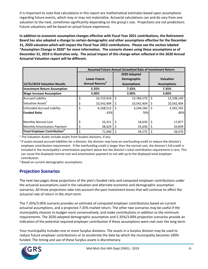It is important to note that calculations in this report are mathematical estimates based upon assumptions regarding future events, which may or may not materialize. Actuarial calculations can and do vary from one valuation to the next, sometimes significantly depending on the group's size. Projections are not predictions. Future valuations will be based on actual future experience.

**In addition to economic assumption changes effective with Fiscal Year 2021 contributions, the Retirement Board has also adopted a change to certain demographic and other assumptions effective for the December 31, 2020 valuation which will impact the Fiscal Year 2022 contributions. Please see the section labeled "Assumption Change in 2020" for more information. The scenario shown using these assumptions as of December 31, 2019 is illustrative only. The actual impact of this change when reflected in the 2020 Annual Actuarial Valuation report will be different.**

|                                     | Assumed Future Annual Smoothed Rate of Investment Return |    |                    |    |                    |  |
|-------------------------------------|----------------------------------------------------------|----|--------------------|----|--------------------|--|
|                                     |                                                          |    | 2020 Adopted       |    |                    |  |
|                                     | <b>Lower Future</b>                                      |    | Demographic        |    | <b>Valuation</b>   |  |
| 12/31/2019 Valuation Results        | Annual Returns <sup>3</sup>                              |    | <b>Assumptions</b> |    | <b>Assumptions</b> |  |
| <b>Investment Return Assumption</b> | 5.35%                                                    |    | 7.35%              |    | 7.35%              |  |
| <b>Wage Increase Assumption</b>     | 3.00%                                                    |    | 3.00%              |    | 3.00%              |  |
| <b>Accrued Liability</b>            | \$<br>16,710,916                                         | \$ | 13,786,570         | \$ | 13,108,169         |  |
| Valuation Assets <sup>1</sup>       | 10,542,404                                               |    | 10,542,404         |    | 10,542,404         |  |
| <b>Unfunded Accrued Liability</b>   | \$<br>6,168,512                                          | Ś  | 3,244,166          | S  | 2,565,765          |  |
| <b>Funded Ratio</b>                 | 63%                                                      |    | 76%                |    | 80%                |  |
| <b>Monthly Normal Cost</b>          | 33,311                                                   |    | 18,639             | Ś  | 17,877             |  |
| Monthly Amortization Payment        | 38,629                                                   |    | 25,636             | 5  | 20,699             |  |
| Total Employer Contribution         | \$<br>71,940                                             |    | 44,275             |    | 38,576             |  |

 $1$  The Valuation Assets include assets from Surplus divisions, if any.

 $2$  If assets exceed accrued liabilities for a division, the division may have an overfunding credit to reduce the division's employer contribution requirement. If the overfunding credit is larger than the normal cost, the division's full credit is included in the municipality's amortization payment above but the division's total contribution requirement is zero. This can cause the displayed normal cost and amortization payment to not add up to the displayed total employer contribution.

<sup>3</sup> Based on current demographic assumptions.

### **Projection Scenarios**

The next two pages show projections of the plan's funded ratio and computed employer contributions under the actuarial assumptions used in the valuation and alternate economic and demographic assumption scenarios. All three projections take into account the past investment losses that will continue to affect the actuarial rate of return in the short term.

The 7.35%/3.00% scenario provides an estimate of computed employer contributions based on current actuarial assumptions, and a projected 7.35% market return. The other two scenarios may be useful if the municipality chooses to budget more conservatively, and make contributions in addition to the minimum requirements. The 2020 adopted demographic assumption and 5.35%/3.00% projection scenarios provide an indication of the potential required employer contribution if these assumptions were met over the long-term.

Your municipality includes one or more Surplus divisions. The assets in a Surplus division may be used to reduce future employer contributions or to accelerate the date by which the municipality becomes 100% funded. The timing and use of these Surplus assets is discretionary.

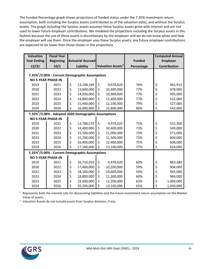The Funded Percentage graph shows projections of funded status under the 7.35% investment return assumption, both including the Surplus assets (contributed as of the valuation date), and without the Surplus assets. The graph including the Surplus assets assumes these Surplus assets grow with interest and are not used to lower future employer contributions. We modeled the projections including the Surplus assets in this fashion because the use of these assets is discretionary by the employer and we do not know when and how the employer will use them. Once the employer uses these Surplus assets, any future employer contributions are expected to be lower than those shown in the projections.

| <b>Valuation</b>                                            | <b>Fiscal Year</b> |           |                                                                  |    |                               |               | <b>Computed Annual</b> |              |
|-------------------------------------------------------------|--------------------|-----------|------------------------------------------------------------------|----|-------------------------------|---------------|------------------------|--------------|
| <b>Year Ending</b>                                          | <b>Beginning</b>   |           | <b>Actuarial Accrued</b>                                         |    |                               | <b>Funded</b> | <b>Employer</b>        |              |
| 12/31                                                       | 10/1               | Liability |                                                                  |    | Valuation Assets <sup>2</sup> | Percentage    |                        | Contribution |
| 7.35% <sup>1</sup> /3.00% - Current Demographic Assumptions |                    |           |                                                                  |    |                               |               |                        |              |
|                                                             |                    |           |                                                                  |    |                               |               |                        |              |
| <b>NO 5-YEAR PHASE-IN</b>                                   |                    |           |                                                                  |    |                               |               |                        |              |
| 2019                                                        | 2021               | \$        | 13,108,169                                                       | \$ | 9,978,620                     | 76%           | \$                     | 462,912      |
| 2020                                                        | 2022               | \$        | 13,600,000                                                       | \$ | 10,400,000                    | 77%           | \$                     | 478,000      |
| 2021                                                        | 2023               | \$        | 14,200,000                                                       | \$ | 10,900,000                    | 77%           | \$                     | 495,000      |
| 2022                                                        | 2024               | \$        | 14,800,000                                                       | \$ | 11,400,000                    | 77%           | \$                     | 522,000      |
| 2023                                                        | 2025               | \$        | 15,400,000                                                       | \$ | 12,100,000                    | 79%           | \$                     | 527,000      |
| 2024                                                        | 2026               | \$        | 16,000,000                                                       | \$ | 12,800,000                    | 80%           | \$                     | 542,000      |
|                                                             |                    |           | 7.35% <sup>1</sup> /3.00% - Adopted 2020 Demographic Assumptions |    |                               |               |                        |              |
| <b>NO 5-YEAR PHASE-IN</b>                                   |                    |           |                                                                  |    |                               |               |                        |              |
| 2019                                                        | 2021               | \$        | 13,786,570                                                       | \$ | 9,978,620                     | 72%           | \$                     | 531,300      |
| 2020                                                        | 2022               | \$        | 14,400,000                                                       | \$ | 10,400,000                    | 73%           | \$                     | 549,000      |
| 2021                                                        | 2023               | \$        | 15,100,000                                                       | \$ | 11,000,000                    | 73%           | \$                     | 571,000      |
| 2022                                                        | 2024               | \$        | 15,700,000                                                       | \$ | 11,500,000                    | 73%           | \$                     | 600,000      |
| 2023                                                        | 2025               | \$        | 16,400,000                                                       | \$ | 12,400,000                    | 75%           | \$                     | 608,000      |
| 2024                                                        | 2026               | Ś         | 17,100,000                                                       | \$ | 13,100,000                    | 77%           | \$                     | 624,000      |
|                                                             |                    |           | 5.35% <sup>1</sup> /3.00% - Current Demographic Assumptions      |    |                               |               |                        |              |
| <b>NO 5-YEAR PHASE-IN</b>                                   |                    |           |                                                                  |    |                               |               |                        |              |
| 2019                                                        | 2021               | \$        | 16,710,916                                                       | \$ | 9,978,620                     | 60%           | \$                     | 863,280      |
| 2020                                                        | 2022               | \$        | 17,400,000                                                       | \$ | 10,200,000                    | 59%           | \$                     | 904,000      |
| 2021                                                        | 2023               | \$        | 18,100,000                                                       | \$ | 10,600,000                    | 59%           | \$                     | 945,000      |
| 2022                                                        | 2024               | \$        | 18,800,000                                                       | \$ | 11,300,000                    | 60%           | \$                     | 984,000      |
| 2023                                                        | 2025               | \$        | 19,500,000                                                       | \$ | 12,200,000                    | 63%           | \$                     | 1,000,000    |
| 2024                                                        | 2026               | \$        | 20,200,000                                                       | \$ | 13,100,000                    | 65%           | \$                     | 1,030,000    |

 $1$  Represents both the interest rate for discounting liabilities and the future investment return assumption on the Market Value of assets.

<sup>2</sup> Valuation Assets do not include assets from Surplus divisions, if any.

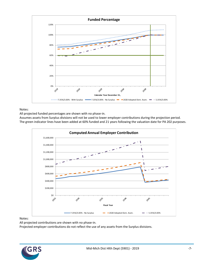

Notes:

All projected funded percentages are shown with no phase-in.

Assumes assets from Surplus divisions will not be used to lower employer contributions during the projection period. The green indicator lines have been added at 60% funded and 21 years following the valuation date for PA 202 purposes.



#### Notes:

All projected contributions are shown with no phase-in.

Projected employer contributions do not reflect the use of any assets from the Surplus divisions.

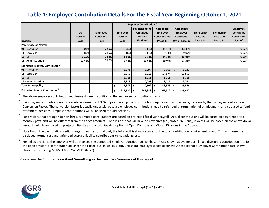## **Table 1: Employer Contribution Details For the Fiscal Year Beginning October 1, 2021**

|                                                    |               |                 | <b>Employer Contributions</b> |                        |                  |                       |                       |                       |                     |
|----------------------------------------------------|---------------|-----------------|-------------------------------|------------------------|------------------|-----------------------|-----------------------|-----------------------|---------------------|
|                                                    |               |                 |                               | Payment of the         | Computed         | Computed              |                       |                       | Employee            |
|                                                    | Total         | <b>Employee</b> | <b>Employer</b>               | <b>Unfunded</b>        | <b>Employer</b>  | <b>Employer</b>       | <b>Blended ER</b>     | <b>Blended ER</b>     | Contribut.          |
|                                                    | <b>Normal</b> | Contribut.      | Normal                        | <b>Accrued</b>         | Contribut. No    | Contribut.            | Rate No               | <b>Rate With</b>      | Conversion          |
| <b>Division</b>                                    | Cost          | Rate            | Cost                          | Liability <sup>4</sup> | Phase-In         | With Phase-In         | Phase-In <sup>3</sup> | Phase-In <sup>3</sup> | Factor <sup>2</sup> |
| <b>Percentage of Payroll</b>                       |               |                 |                               |                        |                  |                       |                       |                       |                     |
| 01 - NonUnion                                      | 8.03%         | 2.68%           | 5.35%                         | 8.83%                  | 14.18%           | 13.46%                |                       |                       | 0.92%               |
| 11 - Local 214                                     | 8.85%         | 3.00%           | 5.85%                         | 3.86%                  | 9.71%            | 9.07%                 |                       |                       | 0.92%               |
| 12 - MNA                                           | 9.10%         | 2.58%           | 6.52%                         | 7.86%                  | 14.38%           | 13.66%                |                       |                       | 0.90%               |
| 13 - Administration                                | 12.41%        | 3.00%           | 9.41%                         | 19.66%                 | 29.07%           | 27.53%                |                       |                       | 0.92%               |
| <b>Estimated Monthly Contribution</b> <sup>3</sup> |               |                 |                               |                        |                  |                       |                       |                       |                     |
| 01 - NonUnion                                      |               |                 | \$<br>3,271                   | $\mathsf{S}$<br>5,397  | $\zeta$<br>8,668 | $\mathsf{S}$<br>8,230 |                       |                       |                     |
| 11 - Local 214                                     |               |                 | 8,959                         | 5,915                  | 14,874           | 13,899                |                       |                       |                     |
| 12 - MNA                                           |               |                 | 2,728                         | 3,288                  | 6,016            | 5,716                 |                       |                       |                     |
| 13 - Administration                                |               |                 | 2,919                         | 6,099                  | 9,018            | 8,541                 |                       |                       |                     |
| <b>Total Municipality</b>                          |               |                 | 17,877<br>s.                  | 20,699<br>\$.          | 38,576           | 36,386                |                       |                       |                     |
| <b>Estimated Annual Contribution</b> <sup>3</sup>  |               |                 | 214,524<br>S                  | 248,388<br>۱S          | 462,912          | 436,632               |                       |                       |                     |

<span id="page-12-0"></span>1 The above employer contribution requirements are in addition to the employee contributions, if any.

2 If employee contributions are increased/decreased by 1.00% of pay, the employer contribution requirement will decrease/increase by the Employee Contribution Conversion Factor. The conversion factor is usually under 1%, because employee contributions may be refunded at termination of employment, and not used to fund retirement pensions. Employer contributions will all be used to fund pensions.

3 For divisions that are open to new hires, estimated contributions are based on projected fiscal year payroll. Actual contributions will be based on actual reported monthly pays, and will be different from the above amounts. For divisions that will have no new hires (i.e., closed divisions), invoices will be based on the above dollar amounts which are based on projected fiscal year payroll. See description of Open Divisions and Closed Divisions in the Appendix.

4 Note that if the overfunding credit is larger than the normal cost, the full credit is shown above but the total contribution requirement is zero. This will cause the displayed normal cost and unfunded accrued liability contributions to not add across.

5 For linked divisions, the employer will be invoiced the Computed Employer Contribution No Phase-in rate shown above for each linked division (a contribution rate for the open division; a contribution dollar for the closed-but-linked division), unless the employer elects to contribute the Blended Employer Contribution rate shown above, by contacting MERS at 800-767-MERS (6377).

**Please see the Comments on Asset Smoothing in the Executive Summary of this report.**

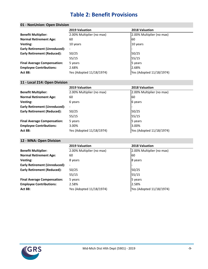## **Table 2: Benefit Provisions**

### <span id="page-13-0"></span>**01 - NonUnion: Open Division**

|                                      | 2019 Valuation            | 2018 Valuation            |
|--------------------------------------|---------------------------|---------------------------|
| <b>Benefit Multiplier:</b>           | 2.00% Multiplier (no max) | 2.00% Multiplier (no max) |
| <b>Normal Retirement Age:</b>        | 60                        | l60                       |
| Vesting:                             | 10 years                  | 10 years                  |
| <b>Early Retirement (Unreduced):</b> | $\overline{\phantom{a}}$  |                           |
| <b>Early Retirement (Reduced):</b>   | 50/25                     | 50/25                     |
|                                      | 55/15                     | 55/15                     |
| <b>Final Average Compensation:</b>   | 5 years                   | 5 years                   |
| <b>Employee Contributions:</b>       | 2.68%                     | 2.68%                     |
| <b>Act 88:</b>                       | Yes (Adopted 11/18/1974)  | Yes (Adopted 11/18/1974)  |

#### **11 - Local 214: Open Division**

|                                      | 2019 Valuation            | <b>2018 Valuation</b>     |
|--------------------------------------|---------------------------|---------------------------|
| <b>Benefit Multiplier:</b>           | 2.00% Multiplier (no max) | 2.00% Multiplier (no max) |
| <b>Normal Retirement Age:</b>        | 60                        | 60                        |
| Vesting:                             | 6 years                   | 6 years                   |
| <b>Early Retirement (Unreduced):</b> |                           |                           |
| <b>Early Retirement (Reduced):</b>   | 50/25                     | 50/25                     |
|                                      | 55/15                     | 55/15                     |
| <b>Final Average Compensation:</b>   | 5 years                   | 5 years                   |
| <b>Employee Contributions:</b>       | 3.00%                     | 3.00%                     |
| <b>Act 88:</b>                       | Yes (Adopted 11/18/1974)  | Yes (Adopted 11/18/1974)  |

### **12 - MNA: Open Division**

|                                      | 2019 Valuation            | 2018 Valuation            |
|--------------------------------------|---------------------------|---------------------------|
| <b>Benefit Multiplier:</b>           | 2.00% Multiplier (no max) | 2.00% Multiplier (no max) |
| <b>Normal Retirement Age:</b>        | 60                        | l 60                      |
| Vesting:                             | 8 years                   | 8 years                   |
| <b>Early Retirement (Unreduced):</b> | $\blacksquare$            |                           |
| <b>Early Retirement (Reduced):</b>   | 50/25                     | 50/25                     |
|                                      | 55/15                     | 55/15                     |
| <b>Final Average Compensation:</b>   | 5 years                   | 5 years                   |
| <b>Employee Contributions:</b>       | 2.58%                     | 2.58%                     |
| <b>Act 88:</b>                       | Yes (Adopted 11/18/1974)  | Yes (Adopted 11/18/1974)  |

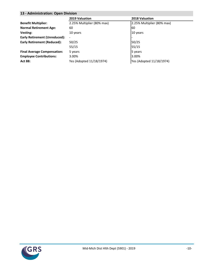#### **13 - Administration: Open Division**

|                                      | 2019 Valuation             | 2018 Valuation             |
|--------------------------------------|----------------------------|----------------------------|
| <b>Benefit Multiplier:</b>           | 2.25% Multiplier (80% max) | 2.25% Multiplier (80% max) |
| <b>Normal Retirement Age:</b>        | 60                         | 60                         |
| Vesting:                             | 10 years                   | 10 years                   |
| <b>Early Retirement (Unreduced):</b> |                            |                            |
| <b>Early Retirement (Reduced):</b>   | 50/25                      | 50/25                      |
|                                      | 55/15                      | 55/15                      |
| <b>Final Average Compensation:</b>   | 5 years                    | 5 years                    |
| <b>Employee Contributions:</b>       | 3.00%                      | 3.00%                      |
| <b>Act 88:</b>                       | Yes (Adopted 11/18/1974)   | Yes (Adopted 11/18/1974)   |

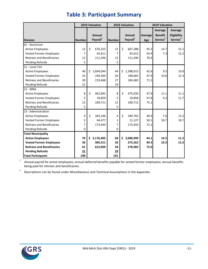<span id="page-15-0"></span>

|                                   | 2019 Valuation |    |                                | 2018 Valuation |    |                                | 2019 Valuation |                                                   |                                                |
|-----------------------------------|----------------|----|--------------------------------|----------------|----|--------------------------------|----------------|---------------------------------------------------|------------------------------------------------|
| <b>Division</b>                   | <b>Number</b>  |    | Annual<br>Payroll <sup>1</sup> | <b>Number</b>  |    | Annual<br>Payroll <sup>1</sup> | Average<br>Age | Average<br><b>Benefit</b><br>Service <sup>2</sup> | Average<br>Eligibility<br>Service <sup>2</sup> |
| 01 - NonUnion                     |                |    |                                |                |    |                                |                |                                                   |                                                |
| <b>Active Employees</b>           | 12             | \$ | 676,323                        | 12             | \$ | 667,288                        | 45.3           | 14.7                                              | 15.1                                           |
| Vested Former Employees           | $\overline{7}$ |    | 45,611                         | $\overline{7}$ |    | 45,612                         | 54.4           | 7.3                                               | 15.2                                           |
| <b>Retirees and Beneficiaries</b> | 12             |    | 111,346                        | 12             |    | 111,346                        | 70.4           |                                                   |                                                |
| <b>Pending Refunds</b>            | 5              |    |                                | 5              |    |                                |                |                                                   |                                                |
| 11 - Local 214                    |                |    |                                |                |    |                                |                |                                                   |                                                |
| <b>Active Employees</b>           | 46             | \$ | 1,694,044                      | 44             | \$ | 1,588,915                      | 42.6           | 9.5                                               | 10.0                                           |
| Vested Former Employees           | 25             |    | 194,364                        | 26             |    | 198,665                        | 47.9           | 10.6                                              | 12.3                                           |
| <b>Retirees and Beneficiaries</b> | 30             |    | 219,468                        | 27             |    | 184,482                        | 71.3           |                                                   |                                                |
| Pending Refunds                   | 21             |    |                                | 19             |    |                                |                |                                                   |                                                |
| 12 - MNA                          |                |    |                                |                |    |                                |                |                                                   |                                                |
| <b>Active Employees</b>           | 8              | \$ | 462,892                        | 8              | \$ | 475,034                        | 47.9           | 11.1                                              | 11.1                                           |
| Vested Former Employees           | $\overline{2}$ |    | 19,859                         | $\overline{2}$ |    | 19,858                         | 47.8           | 9.2                                               | 11.7                                           |
| <b>Retirees and Beneficiaries</b> | 12             |    | 109,711                        | 12             |    | 109,712                        | 75.1           |                                                   |                                                |
| <b>Pending Refunds</b>            | 5              |    |                                | 5              |    |                                |                |                                                   |                                                |
| 13 - Administration               |                |    |                                |                |    |                                |                |                                                   |                                                |
| <b>Active Employees</b>           | 4              | Ś. | 343,146                        | 4              | \$ | 349,762                        | 49.4           | 7.6                                               | 13.2                                           |
| Vested Former Employees           | $\overline{2}$ |    | 44,477                         | $\mathbf{1}$   |    | 11,127                         | 50.1           | 18.7                                              | 18.7                                           |
| <b>Retirees and Beneficiaries</b> | 7              |    | 173,444                        | 7              |    | 173,443                        | 72.1           |                                                   |                                                |
| <b>Pending Refunds</b>            | $\mathbf 0$    |    |                                | 0              |    |                                |                |                                                   |                                                |
| <b>Total Municipality</b>         |                |    |                                |                |    |                                |                |                                                   |                                                |
| <b>Active Employees</b>           | 70             |    | \$3,176,405                    | 68             |    | \$3,080,999                    | 44.1           | 10.5                                              | 11.2                                           |
| <b>Vested Former Employees</b>    | 36             |    | 304,311                        | 36             |    | 275,262                        | 49.3           | 10.3                                              | 13.2                                           |
| <b>Retirees and Beneficiaries</b> | 61             |    | 613,969                        | 58             |    | 578,983                        | 72.0           |                                                   |                                                |
| <b>Pending Refunds</b>            | 31             |    |                                | 29             |    |                                |                |                                                   |                                                |
| <b>Total Participants</b>         | 198            |    |                                | 191            |    |                                |                |                                                   |                                                |

## **Table 3: Participant Summary**

1 Annual payroll for active employees; annual deferred benefits payable for vested former employees; annual benefits being paid for retirees and beneficiaries.

2 Descriptions can be found under Miscellaneous and Technical Assumptions in the Appendix.

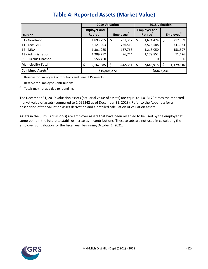<span id="page-16-0"></span>

|                                 |    | <b>2019 Valuation</b>                       |    |                       | <b>2018 Valuation</b>                       |                       |
|---------------------------------|----|---------------------------------------------|----|-----------------------|---------------------------------------------|-----------------------|
| <b>Division</b>                 |    | <b>Employer and</b><br>Retiree <sup>1</sup> |    | Employee <sup>2</sup> | <b>Employer and</b><br>Retiree <sup>1</sup> | Employee <sup>2</sup> |
| 01 - NonUnion                   | Ş  | 1,893,295                                   | \$ | 231,367               | \$<br>1,674,424                             | \$<br>212,359         |
| 11 - Local 214                  |    | 4,121,903                                   |    | 756,510               | 3,574,588                                   | 741,934               |
| 12 - MNA                        |    | 1,301,985                                   |    | 157,766               | 1,218,050                                   | 153,597               |
| 13 - Administration             |    | 1,289,252                                   |    | 96,744                | 1,179,852                                   | 71,426                |
| S1 - Surplus Unassoc.           |    | 556,450                                     |    | 0                     | O                                           |                       |
| Municipality Total <sup>3</sup> | \$ | 9,162,885                                   | \$ | 1,242,387             | \$<br>7,646,915                             | \$<br>1,179,316       |
| Combined Assets <sup>3</sup>    |    | \$10,405,272                                |    |                       | \$8,826,231                                 |                       |

## **Table 4: Reported Assets (Market Value)**

Reserve for Employer Contributions and Benefit Payments.

2 Reserve for Employee Contributions.

1

3 Totals may not add due to rounding.

The December 31, 2019 valuation assets (actuarial value of assets) are equal to 1.013179 times the reported market value of assets (compared to 1.095342 as of December 31, 2018). Refer to the Appendix for a description of the valuation asset derivation and a detailed calculation of valuation assets.

Assets in the Surplus division(s) are employer assets that have been reserved to be used by the employer at some point in the future to stabilize increases in contributions. These assets are not used in calculating the employer contribution for the fiscal year beginning October 1, 2021.

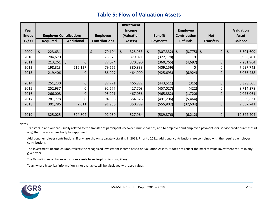## **Table 5: Flow of Valuation Assets**

<span id="page-17-0"></span>

|              |                               |                        |                      | Investment    |                  |                         |                  |                  |
|--------------|-------------------------------|------------------------|----------------------|---------------|------------------|-------------------------|------------------|------------------|
| Year         |                               |                        |                      | <b>Income</b> |                  | <b>Employee</b>         |                  | <b>Valuation</b> |
| <b>Ended</b> | <b>Employer Contributions</b> |                        | <b>Employee</b>      | (Valuation    | <b>Benefit</b>   | <b>Contribution</b>     | <b>Net</b>       | <b>Asset</b>     |
| 12/31        | <b>Required</b>               | <b>Additional</b>      | <b>Contributions</b> | Assets)       | <b>Payments</b>  | <b>Refunds</b>          | <b>Transfers</b> | <b>Balance</b>   |
|              |                               |                        |                      |               |                  |                         |                  |                  |
| 2009         | \$<br>223,631                 |                        | \$<br>79,104         | \$<br>325,953 | \$<br>(307, 332) | $\zeta$<br>$(8,775)$ \$ | $\mathbf 0$      | \$<br>6,601,609  |
| 2010         | 204,670                       |                        | 73,529               | 379,071       | (322, 178)       |                         | 0                | 6,936,701        |
| 2011         | 213,261                       | $\zeta$<br>$\mathbf 0$ | 77,074               | 370,390       | (360, 765)       | (4,697)                 | 0                | 7,231,964        |
| 2012         | 198,313                       | 216,127                | 79,665               | 380,833       | (409, 159)       |                         | 0                | 7,697,743        |
| 2013         | 219,406                       | 0                      | 86,927               | 464,999       | (425, 693)       | (6,924)                 | 0                | 8,036,458        |
|              |                               |                        |                      |               |                  |                         |                  |                  |
| 2014         | 251,230                       | 0                      | 87,771               | 466,872       | (443, 511)       | (315)                   | $\Omega$         | 8,398,505        |
| 2015         | 252,937                       | $\Omega$               | 92,677               | 427,708       | (457, 027)       | (422)                   | 0                | 8,714,378        |
| 2016         | 266,008                       | $\Omega$               | 95,221               | 467,056       | (465, 882)       | (1,720)                 | 0                | 9,075,061        |
| 2017         | 281,778                       | $\Omega$               | 94,936               | 554,526       | (491, 206)       | (5, 464)                | $\Omega$         | 9,509,631        |
| 2018         | 301,786                       | 2,011                  | 91,930               | 350,789       | (555, 802)       | (32,604)                | 0                | 9,667,741        |
|              |                               |                        |                      |               |                  |                         |                  |                  |
| 2019         | 325,025                       | 524,802                | 92,960               | 527,964       | (589, 876)       | (6, 212)                | 0                | 10,542,404       |

#### Notes:

Transfers in and out are usually related to the transfer of participants between municipalities, and to employer and employee payments for service credit purchases (if any) that the governing body has approved.

Additional employer contributions, if any, are shown separately starting in 2011. Prior to 2011, additional contributions are combined with the required employer contributions.

The investment income column reflects the recognized investment income based on Valuation Assets. It does not reflect the market value investment return in any given year.

The Valuation Asset balance includes assets from Surplus divisions, if any.

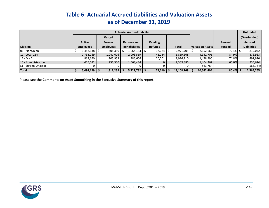## **Table 6: Actuarial Accrued Liabilities and Valuation Assets as of December 31, 2019**

|                       |                  |                  | <b>Actuarial Accrued Liability</b> |                |                 |                  |               | <b>Unfunded</b>    |
|-----------------------|------------------|------------------|------------------------------------|----------------|-----------------|------------------|---------------|--------------------|
|                       |                  | <b>Vested</b>    |                                    |                |                 |                  |               | (Overfunded)       |
|                       | Active           | Former           | <b>Retirees and</b>                | Pending        |                 |                  | Percent       | <b>Accrued</b>     |
| <b>Division</b>       | <b>Employees</b> | <b>Employees</b> | <b>Beneficiaries</b>               | <b>Refunds</b> | <b>Total</b>    | Valuation Assets | <b>Funded</b> | <b>Liabilities</b> |
| 01 - NonUnion         | $1,482,138$ \$   | 408,350          | $1,064,133$ \$                     | $17,084$ \$    | $2,971,705$ S   | 2,152,663        | 72.4% \$      | 819,042            |
| 11 - Local 214        | 2,733,269        | 1,041,606        | 2,003,559                          | 41,234         | 5,819,668       | 4,942,705        | 84.9%         | 876,963            |
| <b>12 - MNA</b>       | 863,650          | 105,953          | 986,606                            | 20,701         | 1,976,910       | 1,478,990        | 74.8%         | 497,920            |
| 13 - Administration   | 415,072          | 256,330          | 1,668,484                          |                | 2,339,886       | 1,404,262        | 60.0%         | 935,624            |
| S1 - Surplus Unassoc. |                  |                  |                                    |                |                 | 563,784          |               | (563, 784)         |
| <b>Total</b>          | $5,494,129$   \$ | $1,812,239$ \$   | $5,722,782$ \$                     | 79,019         | $13,108,169$ \$ | 10,542,404       | $80.4\%$ \$   | 2,565,765          |

<span id="page-18-0"></span>**Please see the Comments on Asset Smoothing in the Executive Summary of this report.**

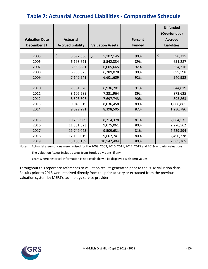## <span id="page-19-0"></span>**Table 7: Actuarial Accrued Liabilities - Comparative Schedule**

|                       |                          |                         |                | <b>Unfunded</b><br>(Overfunded) |
|-----------------------|--------------------------|-------------------------|----------------|---------------------------------|
| <b>Valuation Date</b> | <b>Actuarial</b>         |                         | <b>Percent</b> | <b>Accrued</b>                  |
| December 31           | <b>Accrued Liability</b> | <b>Valuation Assets</b> | <b>Funded</b>  | <b>Liabilities</b>              |
|                       |                          |                         |                |                                 |
| 2005                  | \$<br>5,692,860          | \$<br>5,102,145         | 90%            | \$<br>590,715                   |
| 2006                  | 6,193,621                | 5,542,334               | 89%            | 651,287                         |
| 2007                  | 6,559,881                | 6,005,665               | 92%            | 554,216                         |
| 2008                  | 6,988,626                | 6,289,028               | 90%            | 699,598                         |
| 2009                  | 7,142,541                | 6,601,609               | 92%            | 540,932                         |
|                       |                          |                         |                |                                 |
| 2010                  | 7,581,520                | 6,936,701               | 91%            | 644,819                         |
| 2011                  | 8,105,589                | 7,231,964               | 89%            | 873,625                         |
| 2012                  | 8,593,606                | 7,697,743               | 90%            | 895,863                         |
| 2013                  | 9,045,319                | 8,036,458               | 89%            | 1,008,861                       |
| 2014                  | 9,629,291                | 8,398,505               | 87%            | 1,230,786                       |
|                       |                          |                         |                |                                 |
| 2015                  | 10,798,909               | 8,714,378               | 81%            | 2,084,531                       |
| 2016                  | 11,351,623               | 9,075,061               | 80%            | 2,276,562                       |
| 2017                  | 11,749,025               | 9,509,631               | 81%            | 2,239,394                       |
| 2018                  | 12,158,019               | 9,667,741               | 80%            | 2,490,278                       |
| 2019                  | 13,108,169               | 10,542,404              | 80%            | 2,565,765                       |

Notes: Actuarial assumptions were revised for the 2008, 2009, 2010, 2011, 2012, 2015 and 2019 actuarial valuations.

The Valuation Assets include assets from Surplus divisions, if any.

Years where historical information is not available will be displayed with zero values.

Throughout this report are references to valuation results generated prior to the 2018 valuation date. Results prior to 2018 were received directly from the prior actuary or extracted from the previous valuation system by MERS's technology service provider.

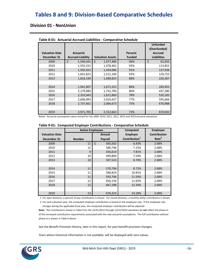## <span id="page-20-0"></span>**Tables 8 and 9: Division-Based Comparative Schedules**

### **Division 01 - NonUnion**

| <b>Valuation Date</b><br>December 31 | <b>Actuarial</b><br><b>Accrued Liability</b> | <b>Valuation Assets</b> | Percent<br><b>Funded</b> | <b>Unfunded</b><br>(Overfunded)<br><b>Accrued</b><br><b>Liabilities</b> |
|--------------------------------------|----------------------------------------------|-------------------------|--------------------------|-------------------------------------------------------------------------|
| 2009                                 | \$<br>1,540,441                              | Ŝ.<br>1,477,486         | 96%                      | \$<br>62,955                                                            |
| 2010                                 | 1,592,315                                    | 1,478,462               | 93%                      | 113,853                                                                 |
| 2011                                 | 1,592,022                                    | 1,454,086               | 91%                      | 137,936                                                                 |
| 2012                                 | 1,641,823                                    | 1,512,100               | 92%                      | 129,723                                                                 |
| 2013                                 | 1,816,190                                    | 1,589,823               | 88%                      | 226,367                                                                 |
|                                      |                                              |                         |                          |                                                                         |
| 2014                                 | 1,941,007                                    | 1,671,552               | 86%                      | 269,455                                                                 |
| 2015                                 | 2,179,980                                    | 1,742,700               | 80%                      | 437,280                                                                 |
| 2016                                 | 2,333,043                                    | 1,812,860               | 78%                      | 520,183                                                                 |
| 2017                                 | 2,606,093                                    | 2,010,427               | 77%                      | 595,666                                                                 |
| 2018                                 | 2,737,661                                    | 2,066,673               | 75%                      | 670,988                                                                 |
|                                      |                                              |                         |                          |                                                                         |
| 2019                                 | 2,971,705                                    | 2,152,663               | 72%                      | 819,042                                                                 |

#### **Table 8-01: Actuarial Accrued Liabilities - Comparative Schedule**

Notes: Actuarial assumptions were revised for the 2009, 2010, 2011, 2012, 2015 and 2019 actuarial valuations.

|                       | <b>Active Employees</b> |               | Computed                  | <b>Employee</b>     |
|-----------------------|-------------------------|---------------|---------------------------|---------------------|
| <b>Valuation Date</b> |                         | Annual        | <b>Employer</b>           | <b>Contribution</b> |
| December 31           | <b>Number</b>           | Payroll       | Contribution <sup>1</sup> | Rate <sup>2</sup>   |
| 2009                  | 11                      | \$<br>565,562 | 6.43%                     | 2.68%               |
| 2010                  | 12                      | 580,746       | 7.15%                     | 2.68%               |
| 2011                  | 9                       | 436,614       | 7.81%                     | 2.68%               |
| 2012                  | 10                      | 499,869       | 7.54%                     | 2.68%               |
| 2013                  | 10                      | 507,523       | 8.74%                     | 2.68%               |
|                       |                         |               |                           |                     |
| 2014                  | 11                      | 570,706       | 8.72%                     | 2.68%               |
| 2015                  | 11                      | 586,824       | 10.81%                    | 2.68%               |
| 2016                  | 11                      | 593,746       | 11.54%                    | 2.68%               |
| 2017                  | 12                      | 656,156       | 11.65%                    | 2.68%               |
| 2018                  | 12                      | 667,288       | 12.34%                    | 2.68%               |
|                       |                         |               |                           |                     |
| 2019                  | 12                      | 676,323       | 14.18%                    | 2.68%               |

#### **Table 9-01: Computed Employer Contributions - Comparative Schedule**

1 For open divisions, a percent of pay contribution is shown. For closed divisions, a monthly dollar contribution is shown.

 2 For each valuation year, the computed employer contribution is based on the employee rate. If the employee rate changes during the applicable fiscal year, the computed employer contribution will be adjusted.

**Note:** The contributions shown in Table 9 for the 12/31/2015 through 12/31/2019 valuations do **not** reflect the phase-in of the increased contribution requirements associated with the new actuarial assumptions. The full contribution without phase-in is shown in Table 9 above.

See the Benefit Provision History, later in this report, for past benefit provision changes.

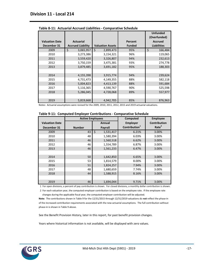|                       |                          |                         |               | <b>Unfunded</b><br>(Overfunded) |
|-----------------------|--------------------------|-------------------------|---------------|---------------------------------|
| <b>Valuation Date</b> | <b>Actuarial</b>         |                         | Percent       | <b>Accrued</b>                  |
| December 31           | <b>Accrued Liability</b> | <b>Valuation Assets</b> | <b>Funded</b> | <b>Liabilities</b>              |
| 2009                  | \$<br>3,065,957          | \$<br>2,899,473         | 95%           | \$<br>166,484                   |
| 2010                  | 3,273,386                | 3,154,321               | 96%           | 119,065                         |
| 2011                  | 3,559,420                | 3,326,807               | 94%           | 232,613                         |
| 2012                  | 3,750,159                | 3,475,381               | 93%           | 274,778                         |
| 2013                  | 3,879,485                | 3,691,182               | 95%           | 188,303                         |
|                       |                          |                         |               |                                 |
| 2014                  | 4,155,398                | 3,915,774               | 94%           | 239,624                         |
| 2015                  | 4,731,473                | 4,149,355               | 88%           | 582,118                         |
| 2016                  | 5,004,823                | 4,413,139               | 88%           | 591,684                         |
| 2017                  | 5,116,365                | 4,590,767               | 90%           | 525,598                         |
| 2018                  | 5,286,045                | 4,728,068               | 89%           | 557,977                         |
|                       |                          |                         |               |                                 |
| 2019                  | 5,819,668                | 4,942,705               | 85%           | 876,963                         |

|  | Table 8-11: Actuarial Accrued Liabilities - Comparative Schedule |  |  |  |
|--|------------------------------------------------------------------|--|--|--|
|--|------------------------------------------------------------------|--|--|--|

|                       | <b>Active Employees</b> |                 | Computed                  | <b>Employee</b>     |
|-----------------------|-------------------------|-----------------|---------------------------|---------------------|
| <b>Valuation Date</b> |                         | Annual          | <b>Employer</b>           | <b>Contribution</b> |
| December 31           | <b>Number</b>           | Payroll         | Contribution <sup>1</sup> | Rate <sup>2</sup>   |
| 2009                  | 43                      | \$<br>1,531,417 | 6.21%                     | 3.00%               |
| 2010                  | 48                      | 1,580,394       | 6.03%                     | 3.00%               |
| 2011                  | 46                      | 1,560,518       | 6.62%                     | 3.00%               |
| 2012                  | 46                      | 1,554,789       | 6.87%                     | 3.00%               |
| 2013                  | 46                      | 1,561,233       | 6.47%                     | 3.00%               |
|                       |                         |                 |                           |                     |
| 2014                  | 50                      | 1,642,850       | 6.65%                     | 3.00%               |
| 2015                  | 53                      | 1,814,579       | 8.00%                     | 3.00%               |
| 2016                  | 51                      | 1,824,257       | 7.94%                     | 3.00%               |
| 2017                  | 48                      | 1,680,659       | 7.74%                     | 3.00%               |
| 2018                  | 44                      | 1,588,915       | 8.16%                     | 3.00%               |
|                       |                         |                 |                           |                     |
| 2019                  | 46                      | 1,694,044       | 9.71%                     | 3.00%               |

1 For open divisions, a percent of pay contribution is shown. For closed divisions, a monthly dollar contribution is shown.

 2 For each valuation year, the computed employer contribution is based on the employee rate. If the employee rate changes during the applicable fiscal year, the computed employer contribution will be adjusted.

**Note:** The contributions shown in Table 9 for the 12/31/2015 through 12/31/2019 valuations do **not** reflect the phase-in of the increased contribution requirements associated with the new actuarial assumptions. The full contribution without phase-in is shown in Table 9 above.

See the Benefit Provision History, later in this report, for past benefit provision changes.

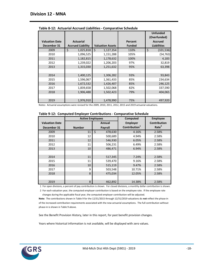|                       |                          |                         |               | <b>Unfunded</b><br>(Overfunded) |
|-----------------------|--------------------------|-------------------------|---------------|---------------------------------|
| <b>Valuation Date</b> | <b>Actuarial</b>         |                         | Percent       | <b>Accrued</b>                  |
| December 31           | <b>Accrued Liability</b> | <b>Valuation Assets</b> | <b>Funded</b> | <b>Liabilities</b>              |
| 2009                  | \$<br>1,025,818          | \$<br>1,127,354         | 110%          | \$<br>(101, 536)                |
| 2010                  | 1,096,525                | 1,151,288               | 105%          | (54, 763)                       |
| 2011                  | 1,182,815                | 1,178,632               | 100%          | 4,183                           |
| 2012                  | 1,239,022                | 1,206,203               | 97%           | 32,819                          |
| 2013                  | 1,315,030                | 1,251,632               | 95%           | 63,398                          |
|                       |                          |                         |               |                                 |
| 2014                  | 1,400,125                | 1,306,282               | 93%           | 93,843                          |
| 2015                  | 1,596,067                | 1,361,433               | 85%           | 234,634                         |
| 2016                  | 1,672,532                | 1,426,407               | 85%           | 246,125                         |
| 2017                  | 1,839,658                | 1,502,068               | 82%           | 337,590                         |
| 2018                  | 1,906,488                | 1,502,423               | 79%           | 404,065                         |
|                       |                          |                         |               |                                 |
| 2019                  | 1,976,910                | 1,478,990               | 75%           | 497,920                         |

|  | Table 8-12: Actuarial Accrued Liabilities - Comparative Schedule |  |  |  |
|--|------------------------------------------------------------------|--|--|--|
|--|------------------------------------------------------------------|--|--|--|

|                       | <b>Active Employees</b> |               | <b>Computed</b>           | <b>Employee</b>     |
|-----------------------|-------------------------|---------------|---------------------------|---------------------|
| <b>Valuation Date</b> |                         | Annual        | <b>Employer</b>           | <b>Contribution</b> |
| December 31           | <b>Number</b>           | Payroll       | Contribution <sup>1</sup> | Rate <sup>2</sup>   |
| 2009                  | 11                      | \$<br>478,630 | 4.16%                     | 2.58%               |
| 2010                  | 12                      | 500,689       | 4.94%                     | 2.58%               |
| 2011                  | 12                      | 546,930       | 6.05%                     | 2.58%               |
| 2012                  | 11                      | 506,231       | 6.49%                     | 2.58%               |
| 2013                  | 10                      | 486,471       | 6.94%                     | 2.58%               |
|                       |                         |               |                           |                     |
| 2014                  | 11                      | 517,345       | 7.24%                     | 2.58%               |
| 2015                  | 11                      | 539,470       | 9.16%                     | 2.58%               |
| 2016                  | 10                      | 515,119       | 9.47%                     | 2.58%               |
| 2017                  | 9                       | 503,548       | 10.71%                    | 2.58%               |
| 2018                  | 8                       | 475.034       | 12.05%                    | 2.58%               |
|                       |                         |               |                           |                     |
| 2019                  | 8                       | 462,892       | 14.38%                    | 2.58%               |

1 For open divisions, a percent of pay contribution is shown. For closed divisions, a monthly dollar contribution is shown.

 2 For each valuation year, the computed employer contribution is based on the employee rate. If the employee rate changes during the applicable fiscal year, the computed employer contribution will be adjusted.

**Note:** The contributions shown in Table 9 for the 12/31/2015 through 12/31/2019 valuations do **not** reflect the phase-in of the increased contribution requirements associated with the new actuarial assumptions. The full contribution without phase-in is shown in Table 9 above.

See the Benefit Provision History, later in this report, for past benefit provision changes.

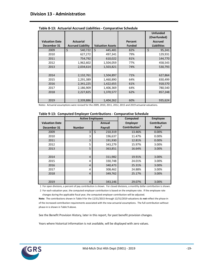|                       |                          |                         |               | <b>Unfunded</b><br>(Overfunded) |
|-----------------------|--------------------------|-------------------------|---------------|---------------------------------|
| <b>Valuation Date</b> | <b>Actuarial</b>         |                         | Percent       | <b>Accrued</b>                  |
| December 31           | <b>Accrued Liability</b> | <b>Valuation Assets</b> | <b>Funded</b> | <b>Liabilities</b>              |
| 2009                  | \$<br>540,722            | \$<br>445,481           | 82%           | \$<br>95,241                    |
| 2010                  | 627,272                  | 497,341                 | 79%           | 129,931                         |
| 2011                  | 754,792                  | 610,022                 | 81%           | 144,770                         |
| 2012                  | 1,962,602                | 1,504,059               | 77%           | 458,543                         |
| 2013                  | 2,034,614                | 1,503,821               | 74%           | 530,793                         |
|                       |                          |                         |               |                                 |
| 2014                  | 2,132,761                | 1,504,897               | 71%           | 627,864                         |
| 2015                  | 2,291,389                | 1,460,890               | 64%           | 830,499                         |
| 2016                  | 2,341,225                | 1,422,655               | 61%           | 918,570                         |
| 2017                  | 2,186,909                | 1,406,369               | 64%           | 780,540                         |
| 2018                  | 2,227,825                | 1,370,577               | 62%           | 857,248                         |
|                       |                          |                         |               |                                 |
| 2019                  | 2,339,886                | 1,404,262               | 60%           | 935,624                         |

|  | Table 8-13: Actuarial Accrued Liabilities - Comparative Schedule |  |  |  |
|--|------------------------------------------------------------------|--|--|--|
|--|------------------------------------------------------------------|--|--|--|

|                       | <b>Active Employees</b> |               | Computed                  | <b>Employee</b>     |
|-----------------------|-------------------------|---------------|---------------------------|---------------------|
| <b>Valuation Date</b> |                         | Annual        | <b>Employer</b>           | <b>Contribution</b> |
| December 31           | <b>Number</b>           | Payroll       | Contribution <sup>1</sup> | Rate <sup>2</sup>   |
| 2009                  | 3                       | \$<br>210,319 | 13.46%                    | 0.00%               |
| 2010                  | 3                       | 196,637       | 11.47%                    | 0.00%               |
| 2011                  | 3                       | 191,930       | 12.81%                    | 0.00%               |
| 2012                  | 5                       | 343,279       | 15.97%                    | 3.00%               |
| 2013                  | 5                       | 363,851       | 16.64%                    | 3.00%               |
|                       |                         |               |                           |                     |
| 2014                  | $\overline{4}$          | 311,982       | 19.91%                    | 3.00%               |
| 2015                  | 4                       | 330,748       | 24.01%                    | 3.00%               |
| 2016                  | $\overline{4}$          | 340,473       | 25.31%                    | 3.00%               |
| 2017                  | 4                       | 308,462       | 24.88%                    | 3.00%               |
| 2018                  | $\overline{4}$          | 349,762       | 25.17%                    | 3.00%               |
|                       |                         |               |                           |                     |
| 2019                  | 4                       | 343,146       | 29.07%                    | 3.00%               |

1 For open divisions, a percent of pay contribution is shown. For closed divisions, a monthly dollar contribution is shown.

 2 For each valuation year, the computed employer contribution is based on the employee rate. If the employee rate changes during the applicable fiscal year, the computed employer contribution will be adjusted.

**Note:** The contributions shown in Table 9 for the 12/31/2015 through 12/31/2019 valuations do **not** reflect the phase-in of the increased contribution requirements associated with the new actuarial assumptions. The full contribution without phase-in is shown in Table 9 above.

See the Benefit Provision History, later in this report, for past benefit provision changes.

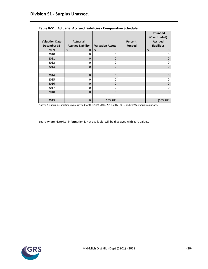|                                      |                          |                         |                          | <b>Unfunded</b><br>(Overfunded)      |
|--------------------------------------|--------------------------|-------------------------|--------------------------|--------------------------------------|
| <b>Valuation Date</b><br>December 31 | <b>Actuarial</b>         | <b>Valuation Assets</b> | Percent<br><b>Funded</b> | <b>Accrued</b><br><b>Liabilities</b> |
|                                      | <b>Accrued Liability</b> |                         |                          |                                      |
| 2009                                 | \$<br>0                  | \$<br>$\mathbf 0$       |                          | \$<br>0                              |
| 2010                                 | 0                        | 0                       |                          | 0                                    |
| 2011                                 | 0                        | $\Omega$                |                          | 0                                    |
| 2012                                 | 0                        | 0                       |                          | 0                                    |
| 2013                                 | $\Omega$                 | $\Omega$                |                          | $\Omega$                             |
|                                      |                          |                         |                          |                                      |
| 2014                                 | $\Omega$                 | $\Omega$                |                          | $\mathbf 0$                          |
| 2015                                 | 0                        | $\Omega$                |                          | 0                                    |
| 2016                                 | 0                        | $\Omega$                |                          | 0                                    |
| 2017                                 | 0                        | $\mathbf 0$             |                          | ი                                    |
| 2018                                 | $\Omega$                 | $\Omega$                |                          | $\Omega$                             |
|                                      |                          |                         |                          |                                      |
| 2019                                 | 0                        | 563,784                 |                          | (563, 784)                           |

**Table 8-S1: Actuarial Accrued Liabilities - Comparative Schedule**

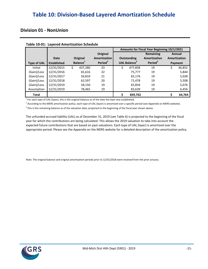## <span id="page-25-0"></span>**Table 10: Division-Based Layered Amortization Schedule**

### **Division 01 - NonUnion**

|                    |                    |                      |          |                     | Amounts for Fiscal Year Beginning 10/1/2021 |                                 |                     |         |              |  |
|--------------------|--------------------|----------------------|----------|---------------------|---------------------------------------------|---------------------------------|---------------------|---------|--------------|--|
|                    |                    |                      |          | Original            |                                             |                                 | Remaining           |         | Annual       |  |
|                    | Date               |                      | Original | <b>Amortization</b> |                                             | <b>Outstanding</b>              | Amortization        |         | Amortization |  |
| <b>Type of UAL</b> | <b>Established</b> | Balance <sup>1</sup> |          | Period <sup>2</sup> |                                             | <b>UAL Balance</b> <sup>3</sup> | Period <sup>2</sup> | Payment |              |  |
| Initial            | 12/31/2015         | \$                   | 437,280  | 23                  | \$                                          | 477,858                         | 19                  | \$      | 36,852       |  |
| (Gain)/Loss        | 12/31/2016         |                      | 65,616   | 22                  |                                             | 75,777                          | 19                  |         | 5,844        |  |
| (Gain)/Loss        | 12/31/2017         |                      | 56,810   | 21                  |                                             | 65,176                          | 19                  |         | 5,028        |  |
| (Gain)/Loss        | 12/31/2018         |                      | 62,597   | 20                  |                                             | 71,478                          | 19                  |         | 5,508        |  |
| (Gain)/Loss        | 12/31/2019         |                      | 58,150   | 19                  |                                             | 65,834                          | 19                  |         | 5,076        |  |
| Assumption         | 12/31/2019         |                      | 78,465   | 19                  |                                             | 83,639                          | 19                  |         | 6,456        |  |
| <b>Total</b>       |                    |                      |          |                     | \$                                          | 839,762                         |                     |         | 64,764       |  |

#### **Table 10-01: Layered Amortization Schedule**

 $1$  For each type of UAL (layer), this is the original balance as of the date the layer was established.

<sup>2</sup> According to the MERS amortization policy, each type of UAL (layer) is amortized over a specific period (see Appendix on MERS website).

 $^3$  This is the remaining balance as of the valuation date, projected to the beginning of the fiscal year shown above.

The unfunded accrued liability (UAL) as of December 31, 2019 (see Table 6) is projected to the beginning of the fiscal appropriate period. Please see the Appendix on the MERS website for a detailed description of the amortization policy. year for which the contributions are being calculated. This allows the 2019 valuation to take into account the expected future contributions that are based on past valuations. Each type of UAL (layer) is amortized over the

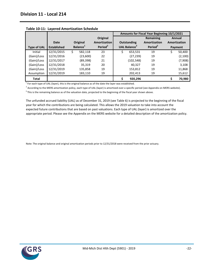|                    |                    |                      |           |                     | Amounts for Fiscal Year Beginning 10/1/2021 |                          |                     |         |              |  |
|--------------------|--------------------|----------------------|-----------|---------------------|---------------------------------------------|--------------------------|---------------------|---------|--------------|--|
|                    |                    |                      |           | Original            |                                             |                          | Remaining           |         | Annual       |  |
|                    | Date               |                      | Original  | <b>Amortization</b> |                                             | <b>Outstanding</b>       | Amortization        |         | Amortization |  |
| <b>Type of UAL</b> | <b>Established</b> | Balance <sup>1</sup> |           | Period <sup>2</sup> |                                             | UAL Balance <sup>3</sup> | Period <sup>2</sup> | Payment |              |  |
| Initial            | 12/31/2015         | \$                   | 582,118   | 23                  | \$.                                         | 653,531                  | 19                  | \$      | 50,400       |  |
| (Gain)/Loss        | 12/31/2016         |                      | (23,600)  | 22                  |                                             | (27, 239)                | 19                  |         | (2,100)      |  |
| (Gain)/Loss        | 12/31/2017         |                      | (89, 398) | 21                  |                                             | (102, 548)               | 19                  |         | (7,908)      |  |
| (Gain)/Loss        | 12/31/2018         |                      | 35,319    | 20                  |                                             | 40,327                   | 19                  |         | 3,108        |  |
| (Gain)/Loss        | 12/31/2019         |                      | 135,858   | 19                  |                                             | 153,812                  | 19                  |         | 11,868       |  |
| Assumption         | 12/31/2019         |                      | 183,110   | 19                  |                                             | 202,413                  | 19                  |         | 15,612       |  |
| <b>Total</b>       |                    |                      |           |                     | ς                                           | 920,296                  |                     |         | 70,980       |  |

 $1$  For each type of UAL (layer), this is the original balance as of the date the layer was established.

<sup>2</sup> According to the MERS amortization policy, each type of UAL (layer) is amortized over a specific period (see Appendix on MERS website).

 $^3$  This is the remaining balance as of the valuation date, projected to the beginning of the fiscal year shown above.

The unfunded accrued liability (UAL) as of December 31, 2019 (see Table 6) is projected to the beginning of the fiscal appropriate period. Please see the Appendix on the MERS website for a detailed description of the amortization policy. year for which the contributions are being calculated. This allows the 2019 valuation to take into account the expected future contributions that are based on past valuations. Each type of UAL (layer) is amortized over the

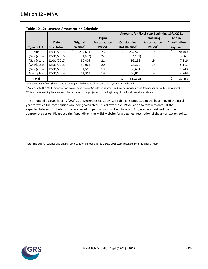|                    |                    |                      |          |                     | Amounts for Fiscal Year Beginning 10/1/2021 |                                 |                     |    |              |  |
|--------------------|--------------------|----------------------|----------|---------------------|---------------------------------------------|---------------------------------|---------------------|----|--------------|--|
|                    |                    |                      |          | Original            |                                             |                                 | Remaining           |    | Annual       |  |
|                    | <b>Date</b>        |                      | Original | <b>Amortization</b> |                                             | Outstanding                     | Amortization        |    | Amortization |  |
| <b>Type of UAL</b> | <b>Established</b> | Balance <sup>1</sup> |          | Period <sup>2</sup> |                                             | <b>UAL Balance</b> <sup>3</sup> | Period <sup>2</sup> |    | Payment      |  |
| Initial            | 12/31/2015         | \$                   | 234,634  | 23                  | \$                                          | 264,578                         | 19                  | \$ | 20,400       |  |
| (Gain)/Loss        | 12/31/2016         |                      | (1,867)  | 22                  |                                             | (2, 151)                        | 19                  |    | (168)        |  |
| (Gain)/Loss        | 12/31/2017         |                      | 80,409   | 21                  |                                             | 92,233                          | 19                  |    | 7,116        |  |
| (Gain)/Loss        | 12/31/2018         |                      | 58,063   | 20                  |                                             | 66,309                          | 19                  |    | 5,112        |  |
| (Gain)/Loss        | 12/31/2019         |                      | 31,510   | 19                  |                                             | 35,674                          | 19                  |    | 2,748        |  |
| Assumption         | 12/31/2019         |                      | 51,364   | 19                  |                                             | 55,015                          | 19                  |    | 4,248        |  |
| <b>Total</b>       |                    |                      |          |                     |                                             | 511,658                         |                     |    | 39,456       |  |

**Table 10-12: Layered Amortization Schedule**

 $1$  For each type of UAL (layer), this is the original balance as of the date the layer was established.

<sup>2</sup> According to the MERS amortization policy, each type of UAL (layer) is amortized over a specific period (see Appendix on MERS website).

 $^3$  This is the remaining balance as of the valuation date, projected to the beginning of the fiscal year shown above.

The unfunded accrued liability (UAL) as of December 31, 2019 (see Table 6) is projected to the beginning of the fiscal appropriate period. Please see the Appendix on the MERS website for a detailed description of the amortization policy. year for which the contributions are being calculated. This allows the 2019 valuation to take into account the expected future contributions that are based on past valuations. Each type of UAL (layer) is amortized over the

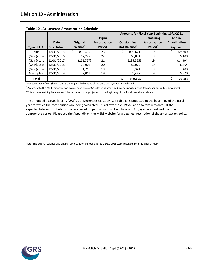|                    |                    |                      |           |                     | Amounts for Fiscal Year Beginning 10/1/2021 |                                 |                     |         |              |  |
|--------------------|--------------------|----------------------|-----------|---------------------|---------------------------------------------|---------------------------------|---------------------|---------|--------------|--|
|                    |                    |                      |           | Original            |                                             |                                 | Remaining           |         | Annual       |  |
|                    | Date               |                      | Original  | <b>Amortization</b> |                                             | <b>Outstanding</b>              | Amortization        |         | Amortization |  |
| <b>Type of UAL</b> | <b>Established</b> | Balance <sup>1</sup> |           | Period <sup>2</sup> |                                             | <b>UAL Balance</b> <sup>3</sup> | Period <sup>2</sup> | Payment |              |  |
| Initial            | 12/31/2015         | S.                   | 830,499   | 23                  | \$                                          | 898,671                         | 19                  | \$      | 69,300       |  |
| (Gain)/Loss        | 12/31/2016         |                      | 57,227    | 22                  |                                             | 66,074                          | 19                  |         | 5,100        |  |
| (Gain)/Loss        | 12/31/2017         |                      | (161,757) | 21                  |                                             | (185, 555)                      | 19                  |         | (14, 304)    |  |
| (Gain)/Loss        | 12/31/2018         |                      | 78,006    | 20                  |                                             | 89,077                          | 19                  |         | 6,864        |  |
| (Gain)/Loss        | 12/31/2019         |                      | 4.718     | 19                  |                                             | 5,341                           | 19                  |         | 408          |  |
| Assumption         | 12/31/2019         |                      | 72,013    | 19                  |                                             | 75,497                          | 19                  |         | 5,820        |  |
| <b>Total</b>       |                    |                      |           |                     | Ś                                           | 949,105                         |                     |         | 73,188       |  |

**Table 10-13: Layered Amortization Schedule**

 $1$  For each type of UAL (layer), this is the original balance as of the date the layer was established.

<sup>2</sup> According to the MERS amortization policy, each type of UAL (layer) is amortized over a specific period (see Appendix on MERS website).

 $^3$  This is the remaining balance as of the valuation date, projected to the beginning of the fiscal year shown above.

The unfunded accrued liability (UAL) as of December 31, 2019 (see Table 6) is projected to the beginning of the fiscal appropriate period. Please see the Appendix on the MERS website for a detailed description of the amortization policy. year for which the contributions are being calculated. This allows the 2019 valuation to take into account the expected future contributions that are based on past valuations. Each type of UAL (layer) is amortized over the

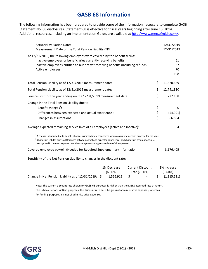## **GASB 68 Information**

<span id="page-29-0"></span>The following information has been prepared to provide some of the information necessary to complete GASB Statement No. 68 disclosures. Statement 68 is effective for fiscal years beginning after June 15, 2014. Additional resources, including an Implementation Guide, are available at [http://www.mersofmich.com/.](http://www.mersofmich.com/)

| <b>Actuarial Valuation Date:</b><br>Measurement Date of the Total Pension Liability (TPL):                                                                                                                                                                                                                                                                                                                                  |                | 12/31/2019<br>12/31/2019                   |
|-----------------------------------------------------------------------------------------------------------------------------------------------------------------------------------------------------------------------------------------------------------------------------------------------------------------------------------------------------------------------------------------------------------------------------|----------------|--------------------------------------------|
| At 12/31/2019, the following employees were covered by the benefit terms:<br>Inactive employees or beneficiaries currently receiving benefits:<br>Inactive employees entitled to but not yet receiving benefits (including refunds):<br>Active employees:                                                                                                                                                                   |                | 61<br>67<br>70<br>198                      |
| Total Pension Liability as of 12/31/2018 measurement date:                                                                                                                                                                                                                                                                                                                                                                  | \$             | 11,820,689                                 |
| Total Pension Liability as of 12/31/2019 measurement date:                                                                                                                                                                                                                                                                                                                                                                  | \$             | 12,741,880                                 |
| Service Cost for the year ending on the 12/31/2019 measurement date:                                                                                                                                                                                                                                                                                                                                                        | \$             | 272,138                                    |
| Change in the Total Pension Liability due to:<br>- Benefit changes <sup>1</sup> :<br>- Differences between expected and actual experience <sup>2</sup> :<br>- Changes in assumptions <sup>2</sup> :                                                                                                                                                                                                                         | \$<br>\$<br>\$ | 0<br>(54, 391)<br>366,834                  |
| Average expected remaining service lives of all employees (active and inactive):                                                                                                                                                                                                                                                                                                                                            |                | 4                                          |
| $^1$ A change in liability due to benefit changes is immediately recognized when calculating pension expense for the year.<br>$^2$ Changes in liability due to differences between actual and expected experience, and changes in assumptions, are<br>recognized in pension expense over the average remaining service lives of all employees.<br>Covered employee payroll: (Needed for Required Supplementary Information) | \$             | 3,176,405                                  |
| Sensitivity of the Net Pension Liability to changes in the discount rate:                                                                                                                                                                                                                                                                                                                                                   |                |                                            |
| <b>Current Discount</b><br>1% Decrease<br>(6.60%)<br>Rate (7.60%)<br>\$<br>Change in Net Pension Liability as of 12/31/2019:<br>1,566,912<br>\$.                                                                                                                                                                                                                                                                            | \$             | 1% Increase<br>$(8.60\%)$<br>(1, 315, 531) |

Note: The current discount rate shown for GASB 68 purposes is higher than the MERS assumed rate of return. This is because for GASB 68 purposes, the discount rate must be gross of administrative expenses, whereas for funding purposes it is net of administrative expenses.

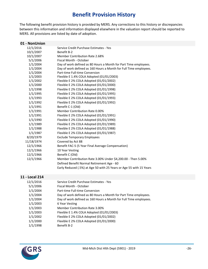## **Benefit Provision History**

<span id="page-30-0"></span>The following benefit provision history is provided by MERS. Any corrections to this history or discrepancies between this information and information displayed elsewhere in the valuation report should be reported to MERS. All provisions are listed by date of adoption.

| 01 - NonUnion |                                                                     |
|---------------|---------------------------------------------------------------------|
| 12/1/2016     | Service Credit Purchase Estimates - Yes                             |
| 10/1/2007     | Benefit B-2                                                         |
| 10/1/2007     | Member Contribution Rate 2.68%                                      |
| 5/1/2006      | Fiscal Month - October                                              |
| 1/1/2004      | Day of work defined as 80 Hours a Month for Part Time employees.    |
| 1/1/2004      | Day of work defined as 160 Hours a Month for Full Time employees.   |
| 1/1/2004      | Part-time Full-time Conversion                                      |
| 1/1/2003      | Flexible E 1.4% COLA Adopted (01/01/2003)                           |
| 1/1/2002      | Flexible E 2% COLA Adopted (01/01/2002)                             |
| 1/1/2000      | Flexible E 2% COLA Adopted (01/01/2000)                             |
| 1/1/1998      | Flexible E 2% COLA Adopted (01/01/1998)                             |
| 1/1/1995      | Flexible E 2% COLA Adopted (01/01/1995)                             |
| 1/1/1993      | Flexible E 2% COLA Adopted (01/01/1993)                             |
| 1/1/1992      | Flexible E 2% COLA Adopted (01/01/1992)                             |
| 1/1/1991      | Benefit C-1 (Old)                                                   |
| 1/1/1991      | Member Contribution Rate 0.00%                                      |
| 1/1/1991      | Flexible E 2% COLA Adopted (01/01/1991)                             |
| 1/1/1990      | Flexible E 2% COLA Adopted (01/01/1990)                             |
| 1/1/1989      | Flexible E 2% COLA Adopted (01/01/1989)                             |
| 1/1/1988      | Flexible E 2% COLA Adopted (01/01/1988)                             |
| 1/1/1987      | Flexible E 2% COLA Adopted (01/01/1987)                             |
| 8/20/1979     | <b>Exclude Temporary Employees</b>                                  |
| 11/18/1974    | Covered by Act 88                                                   |
| 12/1/1966     | Benefit FAC-5 (5 Year Final Average Compensation)                   |
| 12/1/1966     | 10 Year Vesting                                                     |
| 12/1/1966     | Benefit C (Old)                                                     |
| 12/1/1966     | Member Contribution Rate 3.00% Under \$4,200.00 - Then 5.00%        |
|               | Defined Benefit Normal Retirement Age - 60                          |
|               | Early Reduced (.5%) at Age 50 with 25 Years or Age 55 with 15 Years |
|               |                                                                     |

#### **11 - Local 214**

| 12/1/2016 | Service Credit Purchase Estimates - Yes                           |
|-----------|-------------------------------------------------------------------|
| 5/1/2006  | Fiscal Month - October                                            |
| 1/1/2004  | Part-time Full-time Conversion                                    |
| 1/1/2004  | Day of work defined as 80 Hours a Month for Part Time employees.  |
| 1/1/2004  | Day of work defined as 160 Hours a Month for Full Time employees. |
| 1/1/2003  | 6 Year Vesting                                                    |
| 1/1/2003  | Member Contribution Rate 3.00%                                    |
| 1/1/2003  | Flexible E 1.4% COLA Adopted (01/01/2003)                         |
| 1/1/2002  | Flexible E 2% COLA Adopted (01/01/2002)                           |
| 1/1/2000  | Flexible E 2% COLA Adopted (01/01/2000)                           |
| 1/1/1998  | Benefit B-2                                                       |

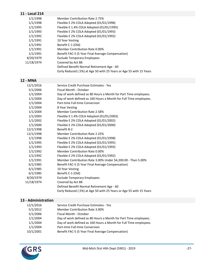### **11 - Local 214**

| 1/1/1998   | Member Contribution Rate 2.75%                                      |
|------------|---------------------------------------------------------------------|
| 1/1/1998   | Flexible E 2% COLA Adopted (01/01/1998)                             |
| 1/1/1995   | Flexible E 1.4% COLA Adopted (01/01/1995)                           |
| 1/1/1993   | Flexible E 2% COLA Adopted (01/01/1993)                             |
| 1/1/1992   | Flexible E 2% COLA Adopted (01/01/1992)                             |
| 1/1/1991   | 10 Year Vesting                                                     |
| 1/1/1991   | Benefit C-1 (Old)                                                   |
| 1/1/1991   | Member Contribution Rate 0.00%                                      |
| 1/1/1991   | Benefit FAC-5 (5 Year Final Average Compensation)                   |
| 8/20/1979  | <b>Exclude Temporary Employees</b>                                  |
| 11/18/1974 | Covered by Act 88                                                   |
|            | Defined Benefit Normal Retirement Age - 60                          |
|            | Early Reduced (.5%) at Age 50 with 25 Years or Age 55 with 15 Years |

### **12 - MNA**

| 12/1/2016  | Service Credit Purchase Estimates - Yes                             |
|------------|---------------------------------------------------------------------|
| 5/1/2006   | Fiscal Month - October                                              |
| 1/1/2004   | Day of work defined as 80 Hours a Month for Part Time employees.    |
| 1/1/2004   | Day of work defined as 160 Hours a Month for Full Time employees.   |
| 1/1/2004   | Part-time Full-time Conversion                                      |
| 1/1/2004   | 8 Year Vesting                                                      |
| 1/1/2004   | Member Contribution Rate 2.58%                                      |
| 1/1/2003   | Flexible E 1.4% COLA Adopted (01/01/2003)                           |
| 1/1/2002   | Flexible E 2% COLA Adopted (01/01/2002)                             |
| 1/1/2000   | Flexible E 2% COLA Adopted (01/01/2000)                             |
| 12/1/1998  | Benefit B-2                                                         |
| 12/1/1998  | <b>Member Contribution Rate 2.25%</b>                               |
| 1/1/1998   | Flexible E 2% COLA Adopted (01/01/1998)                             |
| 1/1/1995   | Flexible E 2% COLA Adopted (01/01/1995)                             |
| 1/1/1993   | Flexible E 2% COLA Adopted (01/01/1993)                             |
| 1/1/1992   | Member Contribution Rate 0.00%                                      |
| 1/1/1992   | Flexible E 2% COLA Adopted (01/01/1992)                             |
| 1/1/1991   | Member Contribution Rate 3.00% Under \$4,200.00 - Then 5.00%        |
| 6/1/1985   | Benefit FAC-5 (5 Year Final Average Compensation)                   |
| 6/1/1985   | 10 Year Vesting                                                     |
| 6/1/1985   | Benefit C-1 (Old)                                                   |
| 8/20/1979  | <b>Exclude Temporary Employees</b>                                  |
| 11/18/1974 | Covered by Act 88                                                   |
|            | Defined Benefit Normal Retirement Age - 60                          |
|            | Early Reduced (.5%) at Age 50 with 25 Years or Age 55 with 15 Years |

### **13 - Administration**

| 12/1/2016 | Service Credit Purchase Estimates - Yes                           |
|-----------|-------------------------------------------------------------------|
| 5/1/2012  | Member Contribution Rate 3.00%                                    |
| 5/1/2006  | Fiscal Month - October                                            |
| 1/1/2004  | Day of work defined as 80 Hours a Month for Part Time employees.  |
| 1/1/2004  | Day of work defined as 160 Hours a Month for Full Time employees. |
| 1/1/2004  | Part-time Full-time Conversion                                    |
| 10/1/2001 | Benefit FAC-5 (5 Year Final Average Compensation)                 |
|           |                                                                   |

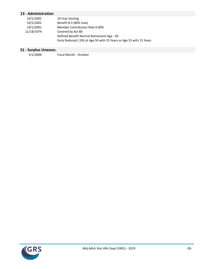### **13 - Administration**

| 10/1/2001  | 10 Year Vesting                                                     |
|------------|---------------------------------------------------------------------|
| 10/1/2001  | Benefit B-3 (80% max)                                               |
| 10/1/2001  | Member Contribution Rate 0.00%                                      |
| 11/18/1974 | Covered by Act 88                                                   |
|            | Defined Benefit Normal Retirement Age - 60                          |
|            | Early Reduced (.5%) at Age 50 with 25 Years or Age 55 with 15 Years |

# **S1 - Surplus Unassoc.**

Fiscal Month - October

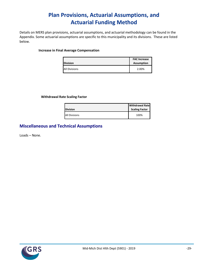## **Plan Provisions, Actuarial Assumptions, and Actuarial Funding Method**

<span id="page-33-0"></span>Details on MERS plan provisions, actuarial assumptions, and actuarial methodology can be found in the Appendix. Some actuarial assumptions are specific to this municipality and its divisions. These are listed below.

#### **Increase in Final Average Compensation**

| <b>Division</b>      | <b>FAC Increase</b><br><b>Assumption</b> |
|----------------------|------------------------------------------|
| <b>All Divisions</b> | 2.00%                                    |

#### **Withdrawal Rate Scaling Factor**

| <b>Division</b>      | <b>Withdrawal Rate</b><br><b>Scaling Factor</b> |
|----------------------|-------------------------------------------------|
| <b>All Divisions</b> | 100%                                            |

### **Miscellaneous and Technical Assumptions**

Loads – None.

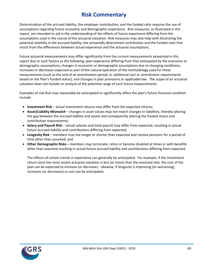## **Risk Commentary**

<span id="page-34-0"></span>Determination of the accrued liability, the employer contribution, and the funded ratio requires the use of assumptions regarding future economic and demographic experience. Risk measures, as illustrated in this report, are intended to aid in the understanding of the effects of future experience differing from the assumptions used in the course of the actuarial valuation. Risk measures may also help with illustrating the potential volatility in the accrued liability, the actuarially determined contribution and the funded ratio that result from the differences between actual experience and the actuarial assumptions.

Future actuarial measurements may differ significantly from the current measurements presented in this report due to such factors as the following: plan experience differing from that anticipated by the economic or demographic assumptions; changes in economic or demographic assumptions due to changing conditions; increases or decreases expected as part of the natural operation of the methodology used for these measurements (such as the end of an amortization period, or additional cost or contribution requirements based on the Plan's funded status); and changes in plan provisions or applicable law. The scope of an actuarial valuation does not include an analysis of the potential range of such future measurements.

Examples of risk that may reasonably be anticipated to significantly affect the plan's future financial condition include:

- **Investment Risk** actual investment returns may differ from the expected returns;
- **Asset/Liability Mismatch** changes in asset values may not match changes in liabilities, thereby altering the gap between the accrued liability and assets and consequently altering the funded status and contribution requirements;
- **Salary and Payroll Risk** actual salaries and total payroll may differ from expected, resulting in actual future accrued liability and contributions differing from expected;
- **Longevity Risk** members may live longer or shorter than expected and receive pensions for a period of time other than assumed; and
- **Other Demographic Risks –** members may terminate, retire or become disabled at times or with benefits other than assumed resulting in actual future accrued liability and contributions differing from expected.

The effects of certain trends in experience can generally be anticipated. For example, if the investment return since the most recent actuarial valuation is less (or more) than the assumed rate, the cost of the plan can be expected to increase (or decrease). Likewise, if longevity is improving (or worsening), increases (or decreases) in cost can be anticipated.

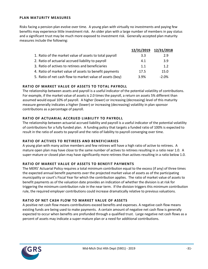#### **PLAN MATURITY MEASURES**

Risks facing a pension plan evolve over time. A young plan with virtually no investments and paying few benefits may experience little investment risk. An older plan with a large number of members in pay status and a significant trust may be much more exposed to investment risk. Generally accepted plan maturity measures include the following:

|                                                           | 12/31/2019 | 12/31/2018 |
|-----------------------------------------------------------|------------|------------|
| 1. Ratio of the market value of assets to total payroll   | 3.3        | 2.9        |
| 2. Ratio of actuarial accrued liability to payroll        | 4.1        | 3.9        |
| 3. Ratio of actives to retirees and beneficiaries         | 1.1        | 1.2        |
| 4. Ratio of market value of assets to benefit payments    | 17.5       | 15.0       |
| 5. Ratio of net cash flow to market value of assets (boy) | 3.9%       | $-2.0%$    |

#### **RATIO OF MARKET VALUE OF ASSETS TO TOTAL PAYROLL**

The relationship between assets and payroll is a useful indicator of the potential volatility of contributions. For example, if the market value of assets is 2.0 times the payroll, a return on assets 5% different than assumed would equal 10% of payroll. A higher (lower) or increasing (decreasing) level of this maturity measure generally indicates a higher (lower) or increasing (decreasing) volatility in plan sponsor contributions as a percentage of payroll.

#### **RATIO OF ACTUARIAL ACCRUED LIABILITY TO PAYROLL**

The relationship between actuarial accrued liability and payroll is a useful indicator of the potential volatility of contributions for a fully funded plan. A funding policy that targets a funded ratio of 100% is expected to result in the ratio of assets to payroll and the ratio of liability to payroll converging over time.

#### **RATIO OF ACTIVES TO RETIREES AND BENEFICIARIES**

A young plan with many active members and few retirees will have a high ratio of active to retirees. A mature open plan may have close to the same number of actives to retirees resulting in a ratio near 1.0. A super-mature or closed plan may have significantly more retirees than actives resulting in a ratio below 1.0.

#### **RATIO OF MARKET VALUE OF ASSETS TO BENEFIT PAYMENTS**

The MERS' Actuarial Policy requires a total minimum contribution equal to the excess (if any) of three times the expected annual benefit payments over the projected market value of assets as of the participating municipality or court's Fiscal Year for which the contribution applies. The ratio of market value of assets to benefit payments as of the valuation date provides an indication of whether the division is at risk for triggering the minimum contribution rule in the near term. If the division triggers this minimum contribution rule, the required employer contributions could increase dramatically relative to previous valuations.

#### **RATIO OF NET CASH FLOW TO MARKET VALUE OF ASSETS**

A positive net cash flow means contributions exceed benefits and expenses. A negative cash flow means existing funds are being used to make payments. A certain amount of negative net cash flow is generally expected to occur when benefits are prefunded through a qualified trust. Large negative net cash flows as a percent of assets may indicate a super-mature plan or a need for additional contributions.